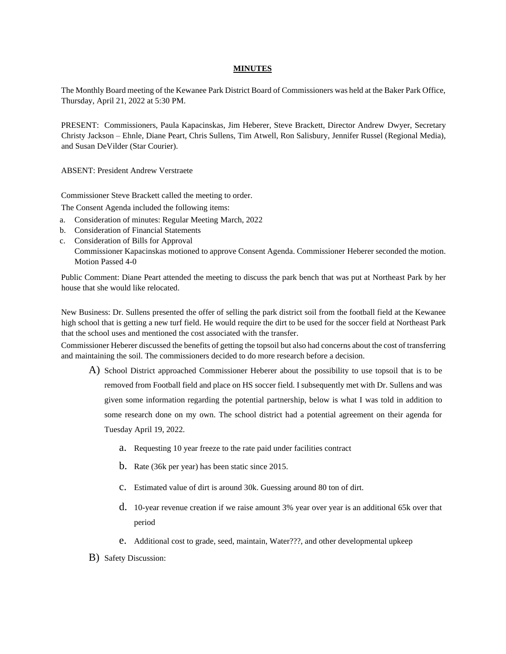## **MINUTES**

The Monthly Board meeting of the Kewanee Park District Board of Commissioners was held at the Baker Park Office, Thursday, April 21, 2022 at 5:30 PM.

PRESENT: Commissioners, Paula Kapacinskas, Jim Heberer, Steve Brackett, Director Andrew Dwyer, Secretary Christy Jackson – Ehnle, Diane Peart, Chris Sullens, Tim Atwell, Ron Salisbury, Jennifer Russel (Regional Media), and Susan DeVilder (Star Courier).

ABSENT: President Andrew Verstraete

Commissioner Steve Brackett called the meeting to order.

The Consent Agenda included the following items:

- a. Consideration of minutes: Regular Meeting March, 2022
- b. Consideration of Financial Statements
- c. Consideration of Bills for Approval Commissioner Kapacinskas motioned to approve Consent Agenda. Commissioner Heberer seconded the motion. Motion Passed 4-0

Public Comment: Diane Peart attended the meeting to discuss the park bench that was put at Northeast Park by her house that she would like relocated.

New Business: Dr. Sullens presented the offer of selling the park district soil from the football field at the Kewanee high school that is getting a new turf field. He would require the dirt to be used for the soccer field at Northeast Park that the school uses and mentioned the cost associated with the transfer.

Commissioner Heberer discussed the benefits of getting the topsoil but also had concerns about the cost of transferring and maintaining the soil. The commissioners decided to do more research before a decision.

- A) School District approached Commissioner Heberer about the possibility to use topsoil that is to be removed from Football field and place on HS soccer field. I subsequently met with Dr. Sullens and was given some information regarding the potential partnership, below is what I was told in addition to some research done on my own. The school district had a potential agreement on their agenda for Tuesday April 19, 2022.
	- a. Requesting 10 year freeze to the rate paid under facilities contract
	- b. Rate (36k per year) has been static since 2015.
	- c. Estimated value of dirt is around 30k. Guessing around 80 ton of dirt.
	- d. 10-year revenue creation if we raise amount 3% year over year is an additional 65k over that period
	- e. Additional cost to grade, seed, maintain, Water???, and other developmental upkeep
- B) Safety Discussion: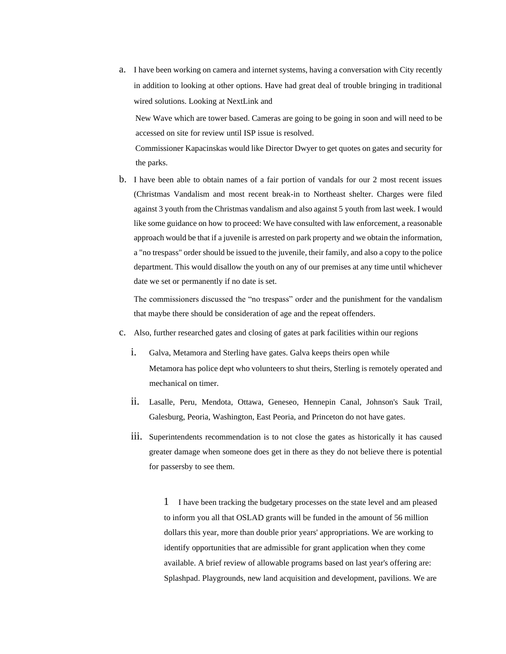a. I have been working on camera and internet systems, having a conversation with City recently in addition to looking at other options. Have had great deal of trouble bringing in traditional wired solutions. Looking at NextLink and

New Wave which are tower based. Cameras are going to be going in soon and will need to be accessed on site for review until ISP issue is resolved.

Commissioner Kapacinskas would like Director Dwyer to get quotes on gates and security for the parks.

b. I have been able to obtain names of a fair portion of vandals for our 2 most recent issues (Christmas Vandalism and most recent break-in to Northeast shelter. Charges were filed against 3 youth from the Christmas vandalism and also against 5 youth from last week. I would like some guidance on how to proceed: We have consulted with law enforcement, a reasonable approach would be that if a juvenile is arrested on park property and we obtain the information, a "no trespass" order should be issued to the juvenile, their family, and also a copy to the police department. This would disallow the youth on any of our premises at any time until whichever date we set or permanently if no date is set.

The commissioners discussed the "no trespass" order and the punishment for the vandalism that maybe there should be consideration of age and the repeat offenders.

- c. Also, further researched gates and closing of gates at park facilities within our regions
	- i. Galva, Metamora and Sterling have gates. Galva keeps theirs open while Metamora has police dept who volunteers to shut theirs, Sterling is remotely operated and mechanical on timer.
	- ii. Lasalle, Peru, Mendota, Ottawa, Geneseo, Hennepin Canal, Johnson's Sauk Trail, Galesburg, Peoria, Washington, East Peoria, and Princeton do not have gates.
	- iii. Superintendents recommendation is to not close the gates as historically it has caused greater damage when someone does get in there as they do not believe there is potential for passersby to see them.

1 I have been tracking the budgetary processes on the state level and am pleased to inform you all that OSLAD grants will be funded in the amount of 56 million dollars this year, more than double prior years' appropriations. We are working to identify opportunities that are admissible for grant application when they come available. A brief review of allowable programs based on last year's offering are: Splashpad. Playgrounds, new land acquisition and development, pavilions. We are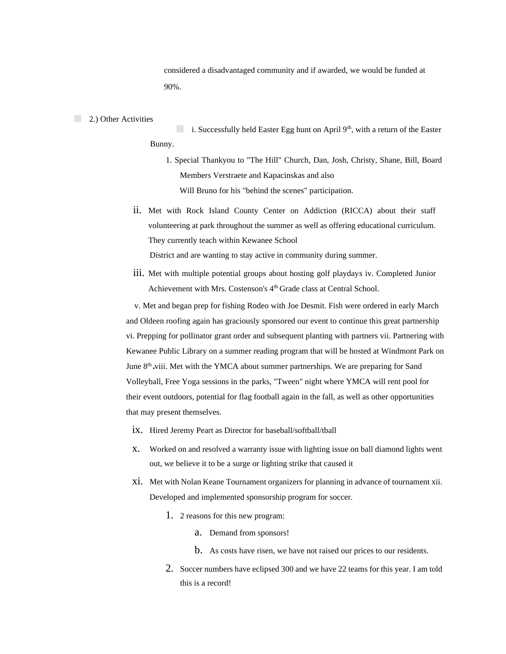considered a disadvantaged community and if awarded, we would be funded at 90%.

## 2.) Other Activities

i. Successfully held Easter Egg hunt on April  $9<sup>th</sup>$ , with a return of the Easter Bunny.

1. Special Thankyou to "The Hill" Church, Dan, Josh, Christy, Shane, Bill, Board Members Verstraete and Kapacinskas and also Will Bruno for his "behind the scenes" participation.

ii. Met with Rock Island County Center on Addiction (RICCA) about their staff volunteering at park throughout the summer as well as offering educational curriculum. They currently teach within Kewanee School

District and are wanting to stay active in community during summer.

iii. Met with multiple potential groups about hosting golf playdays iv. Completed Junior Achievement with Mrs. Costenson's 4<sup>th</sup> Grade class at Central School.

v. Met and began prep for fishing Rodeo with Joe Desmit. Fish were ordered in early March and Oldeen roofing again has graciously sponsored our event to continue this great partnership vi. Prepping for pollinator grant order and subsequent planting with partners vii. Partnering with Kewanee Public Library on a summer reading program that will be hosted at Windmont Park on June 8<sup>th</sup> viii. Met with the YMCA about summer partnerships. We are preparing for Sand Volleyball, Free Yoga sessions in the parks, "Tween" night where YMCA will rent pool for their event outdoors, potential for flag football again in the fall, as well as other opportunities that may present themselves.

- ix. Hired Jeremy Peart as Director for baseball/softball/tball
- x. Worked on and resolved a warranty issue with lighting issue on ball diamond lights went out, we believe it to be a surge or lighting strike that caused it
- xi. Met with Nolan Keane Tournament organizers for planning in advance of tournament xii. Developed and implemented sponsorship program for soccer.
	- 1. 2 reasons for this new program:
		- a. Demand from sponsors!
		- b. As costs have risen, we have not raised our prices to our residents.
	- 2. Soccer numbers have eclipsed 300 and we have 22 teams for this year. I am told this is a record!